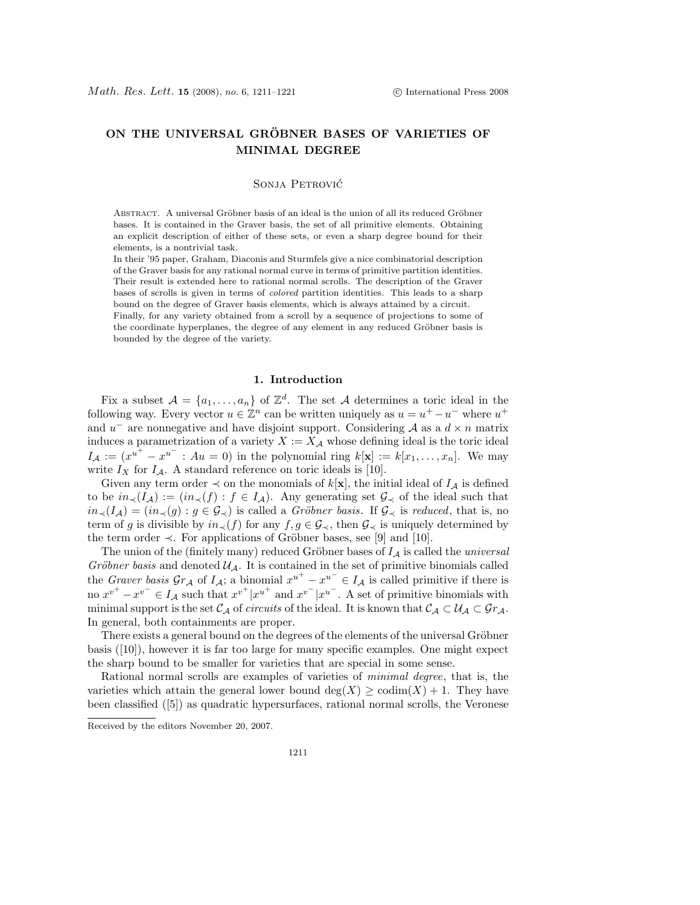# ON THE UNIVERSAL GRÖBNER BASES OF VARIETIES OF MINIMAL DEGREE

## Sonja Petrovic´

ABSTRACT. A universal Gröbner basis of an ideal is the union of all its reduced Gröbner bases. It is contained in the Graver basis, the set of all primitive elements. Obtaining an explicit description of either of these sets, or even a sharp degree bound for their elements, is a nontrivial task.

In their '95 paper, Graham, Diaconis and Sturmfels give a nice combinatorial description of the Graver basis for any rational normal curve in terms of primitive partition identities. Their result is extended here to rational normal scrolls. The description of the Graver bases of scrolls is given in terms of colored partition identities. This leads to a sharp bound on the degree of Graver basis elements, which is always attained by a circuit.

Finally, for any variety obtained from a scroll by a sequence of projections to some of the coordinate hyperplanes, the degree of any element in any reduced Gröbner basis is bounded by the degree of the variety.

## 1. Introduction

Fix a subset  $A = \{a_1, \ldots, a_n\}$  of  $\mathbb{Z}^d$ . The set A determines a toric ideal in the following way. Every vector  $u \in \mathbb{Z}^n$  can be written uniquely as  $u = u^+ - u^-$  where  $u^+$ and  $u^-$  are nonnegative and have disjoint support. Considering A as a  $d \times n$  matrix induces a parametrization of a variety  $X := X_{\mathcal{A}}$  whose defining ideal is the toric ideal  $I_A := (x^{u^+} - x^{u^-} : Au = 0)$  in the polynomial ring  $k[\mathbf{x}] := k[x_1, \ldots, x_n]$ . We may write  $I_X$  for  $I_A$ . A standard reference on toric ideals is [10].

Given any term order  $\prec$  on the monomials of  $k[\mathbf{x}]$ , the initial ideal of  $I_A$  is defined to be  $in_<(I_\mathcal{A}) := (in_<(f) : f \in I_\mathcal{A})$ . Any generating set  $\mathcal{G}_{\prec}$  of the ideal such that  $in_<(I_\mathcal{A}) = (in_<(g): g \in \mathcal{G}_\prec)$  is called a *Gröbner basis*. If  $\mathcal{G}_\prec$  is *reduced*, that is, no term of g is divisible by  $in_{\prec}(f)$  for any  $f, g \in \mathcal{G}_{\prec}$ , then  $\mathcal{G}_{\prec}$  is uniquely determined by the term order  $\prec$ . For applications of Gröbner bases, see [9] and [10].

The union of the (finitely many) reduced Gröbner bases of  $I_A$  is called the *universal* Gröbner basis and denoted  $\mathcal{U}_{\mathcal{A}}$ . It is contained in the set of primitive binomials called the Graver basis  $\mathcal{G}_{r,A}$  of  $I_A$ ; a binomial  $x^{u^+} - x^{u^-} \in I_A$  is called primitive if there is no  $x^{v^+} - x^{v^-} \in I_A$  such that  $x^{v^+}|x^{u^+}$  and  $x^{v^-}|x^{u^-}$ . A set of primitive binomials with minimal support is the set  $\mathcal{C}_{\mathcal{A}}$  of circuits of the ideal. It is known that  $\mathcal{C}_{\mathcal{A}} \subset \mathcal{U}_{\mathcal{A}} \subset \mathcal{G}_{r_{\mathcal{A}}}$ . In general, both containments are proper.

There exists a general bound on the degrees of the elements of the universal Gröbner basis ([10]), however it is far too large for many specific examples. One might expect the sharp bound to be smaller for varieties that are special in some sense.

Rational normal scrolls are examples of varieties of minimal degree, that is, the varieties which attain the general lower bound deg(X)  $\geq$  codim(X) + 1. They have been classified ([5]) as quadratic hypersurfaces, rational normal scrolls, the Veronese

Received by the editors November 20, 2007.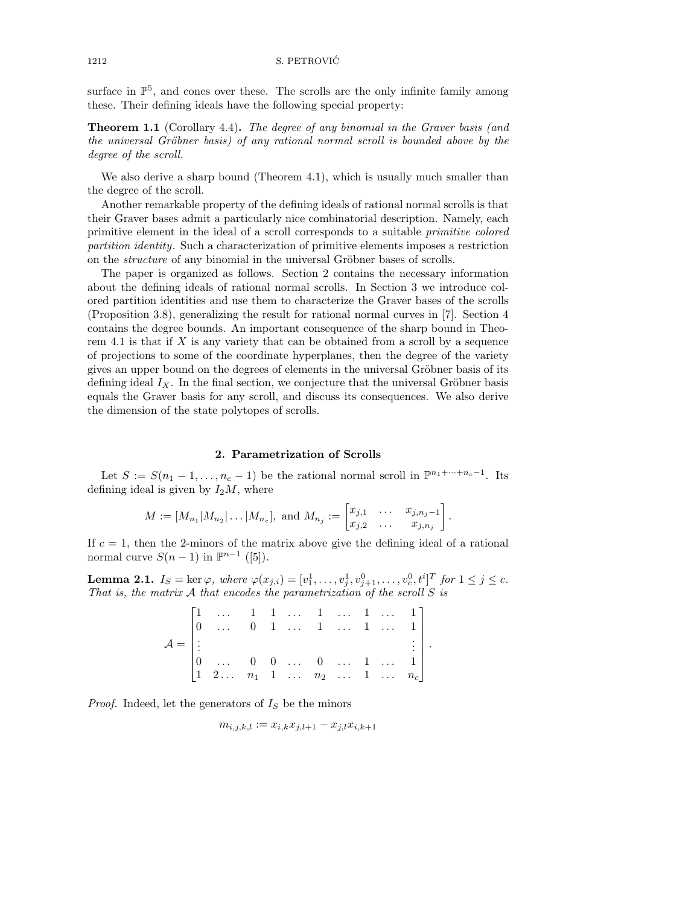surface in  $\mathbb{P}^5$ , and cones over these. The scrolls are the only infinite family among these. Their defining ideals have the following special property:

**Theorem 1.1** (Corollary 4.4). The degree of any binomial in the Graver basis (and the universal Gröbner basis) of any rational normal scroll is bounded above by the degree of the scroll.

We also derive a sharp bound (Theorem 4.1), which is usually much smaller than the degree of the scroll.

Another remarkable property of the defining ideals of rational normal scrolls is that their Graver bases admit a particularly nice combinatorial description. Namely, each primitive element in the ideal of a scroll corresponds to a suitable primitive colored partition identity. Such a characterization of primitive elements imposes a restriction on the *structure* of any binomial in the universal Gröbner bases of scrolls.

The paper is organized as follows. Section 2 contains the necessary information about the defining ideals of rational normal scrolls. In Section 3 we introduce colored partition identities and use them to characterize the Graver bases of the scrolls (Proposition 3.8), generalizing the result for rational normal curves in [7]. Section 4 contains the degree bounds. An important consequence of the sharp bound in Theorem 4.1 is that if  $X$  is any variety that can be obtained from a scroll by a sequence of projections to some of the coordinate hyperplanes, then the degree of the variety gives an upper bound on the degrees of elements in the universal Gröbner basis of its defining ideal  $I_X$ . In the final section, we conjecture that the universal Gröbner basis equals the Graver basis for any scroll, and discuss its consequences. We also derive the dimension of the state polytopes of scrolls.

## 2. Parametrization of Scrolls

Let  $S := S(n_1 - 1, \ldots, n_c - 1)$  be the rational normal scroll in  $\mathbb{P}^{n_1 + \cdots + n_c - 1}$ . Its defining ideal is given by  $I_2M$ , where

$$
M := [M_{n_1}|M_{n_2}|...|M_{n_c}], \text{ and } M_{n_j} := \begin{bmatrix} x_{j,1} & \dots & x_{j,n_j-1} \\ x_{j,2} & \dots & x_{j,n_j} \end{bmatrix}.
$$

If  $c = 1$ , then the 2-minors of the matrix above give the defining ideal of a rational normal curve  $S(n-1)$  in  $\mathbb{P}^{n-1}$  ([5]).

**Lemma 2.1.**  $I_S = \text{ker }\varphi$ , where  $\varphi(x_{j,i}) = [v_1^1, \ldots, v_j^1, v_{j+1}^0, \ldots, v_c^0, t^i]^T$  for  $1 \leq j \leq c$ . That is, the matrix  $A$  that encodes the parametrization of the scroll  $S$  is

|                   | $\begin{bmatrix} 1 & \dots & 1 & 1 & \dots & 1 & \dots & 1 & \dots & 1 \\ 0 & \dots & 0 & 1 & \dots & 1 & \dots & 1 & \dots & 1 \end{bmatrix}$ |  |  |  |                 |  |
|-------------------|------------------------------------------------------------------------------------------------------------------------------------------------|--|--|--|-----------------|--|
| $\mathcal{A} =  $ |                                                                                                                                                |  |  |  | $\frac{1}{2}$ . |  |
|                   | $\begin{bmatrix} 0 & \dots & 0 & 0 & \dots & 0 & \dots & 1 & \dots & 1 \end{bmatrix}$                                                          |  |  |  |                 |  |
|                   | $\begin{bmatrix} 1 & 2 & \dots & n_1 & 1 & \dots & n_2 & \dots & 1 & \dots & n_c \end{bmatrix}$                                                |  |  |  |                 |  |

*Proof.* Indeed, let the generators of  $I<sub>S</sub>$  be the minors

$$
m_{i,j,k,l} := x_{i,k} x_{j,l+1} - x_{j,l} x_{i,k+1}
$$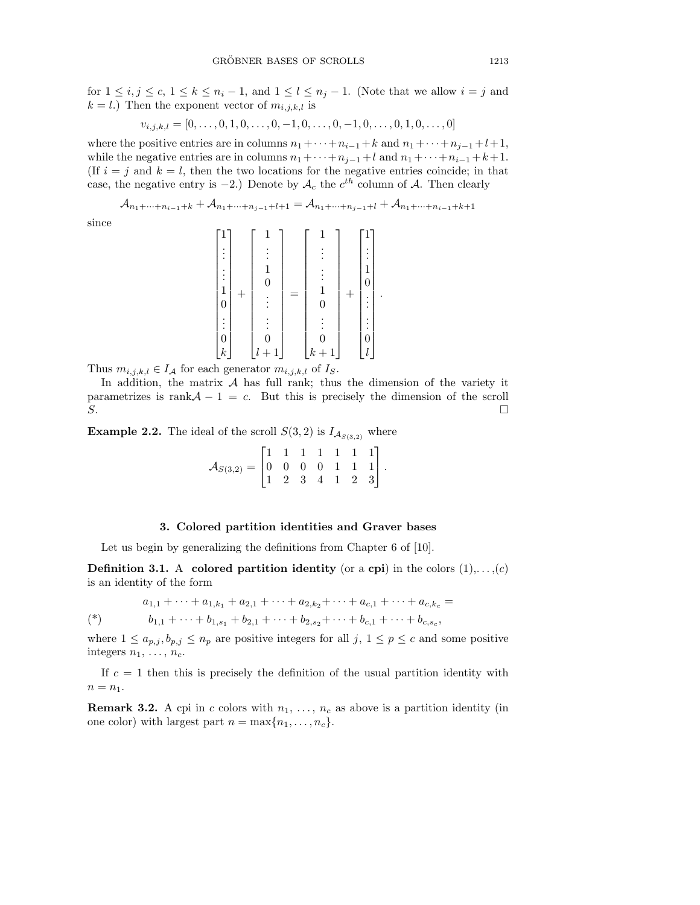for  $1 \le i, j \le c, 1 \le k \le n_i - 1$ , and  $1 \le l \le n_j - 1$ . (Note that we allow  $i = j$  and  $k = l$ .) Then the exponent vector of  $m_{i,j,k,l}$  is

$$
v_{i,j,k,l} = [0, \ldots, 0, 1, 0, \ldots, 0, -1, 0, \ldots, 0, -1, 0, \ldots, 0, 1, 0, \ldots, 0]
$$

where the positive entries are in columns  $n_1 + \cdots + n_{i-1} + k$  and  $n_1 + \cdots + n_{j-1} + l + 1$ , while the negative entries are in columns  $n_1 + \cdots + n_{j-1} + l$  and  $n_1 + \cdots + n_{i-1} + k+1$ . (If  $i = j$  and  $k = l$ , then the two locations for the negative entries coincide; in that case, the negative entry is  $-2$ .) Denote by  $A_c$  the  $c^{th}$  column of A. Then clearly

 $\mathcal{A}_{n_1+\cdots+n_{i-1}+k}+\mathcal{A}_{n_1+\cdots+n_{j-1}+l+1}=\mathcal{A}_{n_1+\cdots+n_{j-1}+l}+\mathcal{A}_{n_1+\cdots+n_{i-1}+k+1}$ 

since

$$
\begin{bmatrix} 1 \\ \vdots \\ \vdots \\ 1 \\ 0 \\ \vdots \\ 0 \\ k \end{bmatrix} + \begin{bmatrix} 1 \\ \vdots \\ 1 \\ 0 \\ \vdots \\ 0 \\ \vdots \\ 0 \\ k+1 \end{bmatrix} = \begin{bmatrix} 1 \\ \vdots \\ \vdots \\ 1 \\ 0 \\ \vdots \\ 0 \\ k+1 \end{bmatrix} + \begin{bmatrix} 1 \\ \vdots \\ 1 \\ 0 \\ \vdots \\ 0 \\ 0 \\ \vdots \\ 0 \end{bmatrix}.
$$

Thus  $m_{i,j,k,l} \in I_{\mathcal{A}}$  for each generator  $m_{i,j,k,l}$  of  $I_{S}$ .

In addition, the matrix  $A$  has full rank; thus the dimension of the variety it parametrizes is rank $A - 1 = c$ . But this is precisely the dimension of the scroll  $S$ .

**Example 2.2.** The ideal of the scroll  $S(3,2)$  is  $I_{\mathcal{A}_{S(3,2)}}$  where

$$
\mathcal{A}_{S(3,2)} = \begin{bmatrix} 1 & 1 & 1 & 1 & 1 & 1 & 1 \\ 0 & 0 & 0 & 0 & 1 & 1 & 1 \\ 1 & 2 & 3 & 4 & 1 & 2 & 3 \end{bmatrix}.
$$

#### 3. Colored partition identities and Graver bases

Let us begin by generalizing the definitions from Chapter 6 of [10].

**Definition 3.1.** A colored partition identity (or a cpi) in the colors  $(1),..., (c)$ is an identity of the form

$$
a_{1,1} + \cdots + a_{1,k_1} + a_{2,1} + \cdots + a_{2,k_2} + \cdots + a_{c,1} + \cdots + a_{c,k_c} =
$$

$$
(*)\qquad b_{1,1} + \dots + b_{1,s_1} + b_{2,1} + \dots + b_{2,s_2} + \dots + b_{c,1} + \dots + b_{c,s_c},
$$

where  $1 \le a_{p,j}, b_{p,j} \le n_p$  are positive integers for all  $j, 1 \le p \le c$  and some positive integers  $n_1, \ldots, n_c$ .

If  $c = 1$  then this is precisely the definition of the usual partition identity with  $n = n_1$ .

**Remark 3.2.** A cpi in c colors with  $n_1, \ldots, n_c$  as above is a partition identity (in one color) with largest part  $n = \max\{n_1, \ldots, n_c\}.$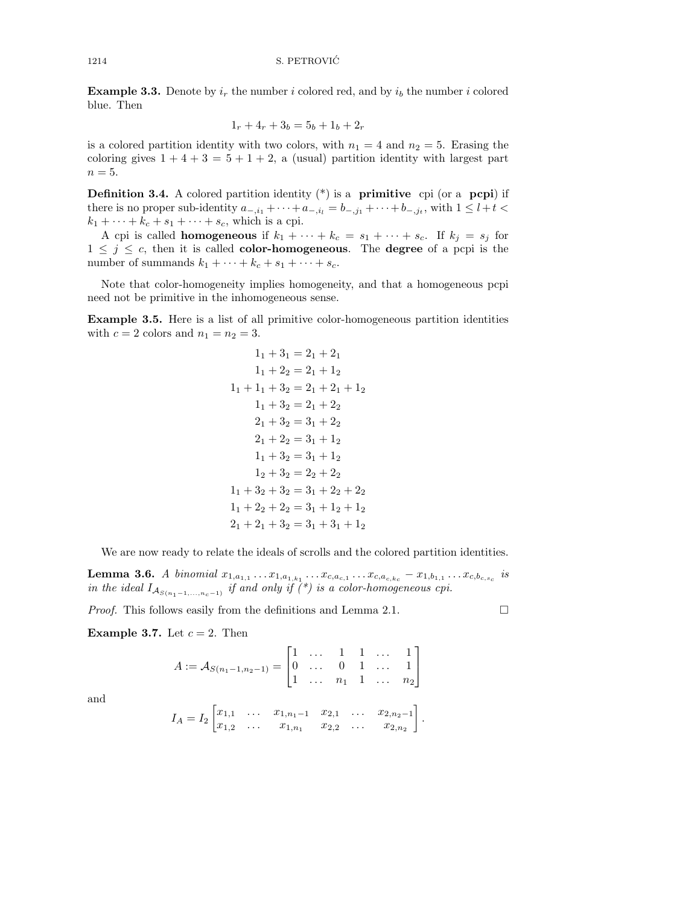**Example 3.3.** Denote by  $i_r$  the number i colored red, and by  $i_b$  the number i colored blue. Then

$$
1_r + 4_r + 3_b = 5_b + 1_b + 2_r
$$

is a colored partition identity with two colors, with  $n_1 = 4$  and  $n_2 = 5$ . Erasing the coloring gives  $1 + 4 + 3 = 5 + 1 + 2$ , a (usual) partition identity with largest part  $n = 5$ .

**Definition 3.4.** A colored partition identity  $(*)$  is a **primitive** cpi (or a **pcpi**) if there is no proper sub-identity  $a_{-,i_1} + \cdots + a_{-,i_l} = b_{-,j_1} + \cdots + b_{-,j_t}$ , with  $1 \leq l + t <$  $k_1 + \cdots + k_c + s_1 + \cdots + s_c$ , which is a cpi.

A cpi is called **homogeneous** if  $k_1 + \cdots + k_c = s_1 + \cdots + s_c$ . If  $k_j = s_j$  for  $1 \leq j \leq c$ , then it is called **color-homogeneous**. The **degree** of a pcpi is the number of summands  $k_1 + \cdots + k_c + s_1 + \cdots + s_c$ .

Note that color-homogeneity implies homogeneity, and that a homogeneous pcpi need not be primitive in the inhomogeneous sense.

Example 3.5. Here is a list of all primitive color-homogeneous partition identities with  $c = 2$  colors and  $n_1 = n_2 = 3$ .

$$
1_1 + 3_1 = 2_1 + 2_1
$$
  
\n
$$
1_1 + 2_2 = 2_1 + 1_2
$$
  
\n
$$
1_1 + 1_1 + 3_2 = 2_1 + 2_1 + 1_2
$$
  
\n
$$
1_1 + 3_2 = 2_1 + 2_2
$$
  
\n
$$
2_1 + 3_2 = 3_1 + 2_2
$$
  
\n
$$
2_1 + 2_2 = 3_1 + 1_2
$$
  
\n
$$
1_1 + 3_2 = 3_1 + 1_2
$$
  
\n
$$
1_2 + 3_2 = 2_2 + 2_2
$$
  
\n
$$
1_1 + 3_2 + 3_2 = 3_1 + 2_2 + 2_2
$$
  
\n
$$
1_1 + 2_2 + 2_2 = 3_1 + 1_2 + 1_2
$$
  
\n
$$
2_1 + 2_1 + 3_2 = 3_1 + 3_1 + 1_2
$$

We are now ready to relate the ideals of scrolls and the colored partition identities.

**Lemma 3.6.** A binomial  $x_{1,a_{1,1}} \ldots x_{1,a_{1,k_1}} \ldots x_{c,a_{c,1}} \ldots x_{c,a_{c,k_c}} - x_{1,b_{1,1}} \ldots x_{c,b_{c,s_c}}$  is in the ideal  $I_{\mathcal{A}_{S(n_1-1,...,n_c-1)}}$  if and only if  $(*)$  is a color-homogeneous cpi.

*Proof.* This follows easily from the definitions and Lemma 2.1.  $\Box$ 

Example 3.7. Let  $c = 2$ . Then

$$
A := \mathcal{A}_{S(n_1-1,n_2-1)} = \begin{bmatrix} 1 & \dots & 1 & 1 & \dots & 1 \\ 0 & \dots & 0 & 1 & \dots & 1 \\ 1 & \dots & n_1 & 1 & \dots & n_2 \end{bmatrix}
$$

and

$$
I_A = I_2 \begin{bmatrix} x_{1,1} & \dots & x_{1,n_1-1} & x_{2,1} & \dots & x_{2,n_2-1} \\ x_{1,2} & \dots & x_{1,n_1} & x_{2,2} & \dots & x_{2,n_2} \end{bmatrix}.
$$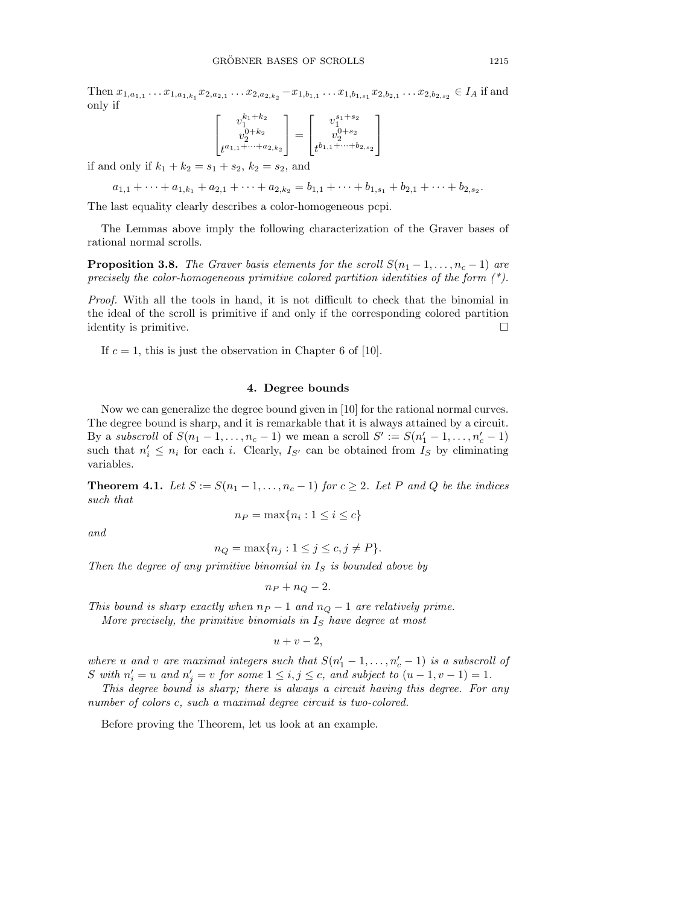Then  $x_{1,a_{1,1}}\ldots x_{1,a_{1,k_1}}x_{2,a_{2,1}}\ldots x_{2,a_{2,k_2}}-x_{1,b_{1,1}}\ldots x_{1,b_{1,s_1}}x_{2,b_{2,1}}\ldots x_{2,b_{2,s_2}}\in I_A$  if and only if

$$
\begin{bmatrix} v_1^{k_1+k_2} \\ v_2^{0+k_2} \\ t^{a_{1,1}+\cdots+a_{2,k_2}} \end{bmatrix} = \begin{bmatrix} v_1^{s_1+s_2} \\ v_2^{0+s_2} \\ t^{b_{1,1}+\cdots+b_{2,s_2}} \end{bmatrix}
$$

if and only if  $k_1 + k_2 = s_1 + s_2$ ,  $k_2 = s_2$ , and

 $a_{1,1} + \cdots + a_{1,k_1} + a_{2,1} + \cdots + a_{2,k_2} = b_{1,1} + \cdots + b_{1,s_1} + b_{2,1} + \cdots + b_{2,s_2}$ 

The last equality clearly describes a color-homogeneous pcpi.

The Lemmas above imply the following characterization of the Graver bases of rational normal scrolls.

**Proposition 3.8.** The Graver basis elements for the scroll  $S(n_1 - 1, \ldots, n_c - 1)$  are precisely the color-homogeneous primitive colored partition identities of the form  $(*)$ .

Proof. With all the tools in hand, it is not difficult to check that the binomial in the ideal of the scroll is primitive if and only if the corresponding colored partition identity is primitive.

If  $c = 1$ , this is just the observation in Chapter 6 of [10].

#### 4. Degree bounds

Now we can generalize the degree bound given in [10] for the rational normal curves. The degree bound is sharp, and it is remarkable that it is always attained by a circuit. By a subscroll of  $S(n_1 - 1, \ldots, n_c - 1)$  we mean a scroll  $S' := S(n'_1 - 1, \ldots, n'_c - 1)$ such that  $n'_i \leq n_i$  for each i. Clearly,  $I_{S'}$  can be obtained from  $I_S$  by eliminating variables.

**Theorem 4.1.** Let  $S := S(n_1 - 1, \ldots, n_c - 1)$  for  $c \geq 2$ . Let P and Q be the indices such that

$$
n_P = \max\{n_i : 1 \le i \le c\}
$$

and

$$
n_Q = \max\{n_j : 1 \le j \le c, j \ne P\}.
$$

Then the degree of any primitive binomial in  $I<sub>S</sub>$  is bounded above by

$$
n_P + n_Q - 2.
$$

This bound is sharp exactly when  $n_P - 1$  and  $n_Q - 1$  are relatively prime. More precisely, the primitive binomials in  $I<sub>S</sub>$  have degree at most

$$
u+v-2,
$$

where u and v are maximal integers such that  $S(n'_1 - 1, ..., n'_c - 1)$  is a subscroll of S with  $n'_i = u$  and  $n'_j = v$  for some  $1 \le i, j \le c$ , and subject to  $(u - 1, v - 1) = 1$ .

This degree bound is sharp; there is always a circuit having this degree. For any number of colors c, such a maximal degree circuit is two-colored.

Before proving the Theorem, let us look at an example.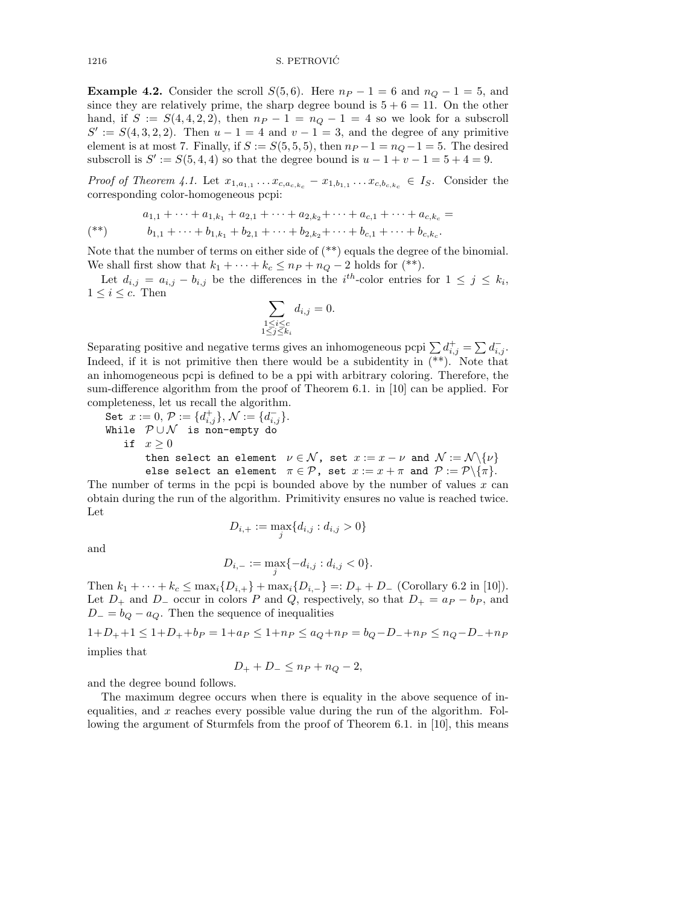1216 S. PETROVIĆ

**Example 4.2.** Consider the scroll  $S(5,6)$ . Here  $n_P - 1 = 6$  and  $n_Q - 1 = 5$ , and since they are relatively prime, the sharp degree bound is  $5 + 6 = 11$ . On the other hand, if  $S := S(4, 4, 2, 2)$ , then  $n_P - 1 = n_Q - 1 = 4$  so we look for a subscroll  $S' := S(4,3,2,2)$ . Then  $u - 1 = 4$  and  $v - 1 = 3$ , and the degree of any primitive element is at most 7. Finally, if  $S := S(5, 5, 5)$ , then  $n_P - 1 = n_Q - 1 = 5$ . The desired subscroll is  $S' := S(5, 4, 4)$  so that the degree bound is  $u - 1 + v - 1 = 5 + 4 = 9$ .

Proof of Theorem 4.1. Let  $x_{1,a_{1,1}} \ldots x_{c,a_{c,k_c}} - x_{1,b_{1,1}} \ldots x_{c,b_{c,k_c}} \in I_S$ . Consider the corresponding color-homogeneous pcpi:

$$
a_{1,1} + \dots + a_{1,k_1} + a_{2,1} + \dots + a_{2,k_2} + \dots + a_{c,1} + \dots + a_{c,k_c} =
$$
  

$$
b_{1,1} + \dots + b_{1,k_1} + b_{2,1} + \dots + b_{2,k_2} + \dots + b_{c,1} + \dots + b_{c,k_c}.
$$

Note that the number of terms on either side of (\*\*) equals the degree of the binomial. We shall first show that  $k_1 + \cdots + k_c \leq n_P + n_Q - 2$  holds for (\*\*).

Let  $d_{i,j} = a_{i,j} - b_{i,j}$  be the differences in the  $i^{th}$ -color entries for  $1 \leq j \leq k_i$ ,  $1 \leq i \leq c$ . Then

$$
\sum_{\substack{1 \le i \le c \\ 1 \le j \le k_i}} d_{i,j} = 0.
$$

Separating positive and negative terms gives an inhomogeneous pcpi  $\sum d_{i,j}^+ = \sum d_{i,j}^-$ . Indeed, if it is not primitive then there would be a subidentity in  $(**)$ . Note that an inhomogeneous pcpi is defined to be a ppi with arbitrary coloring. Therefore, the sum-difference algorithm from the proof of Theorem 6.1. in [10] can be applied. For completeness, let us recall the algorithm.

Set 
$$
x := 0
$$
,  $\mathcal{P} := \{d_{i,j}^+\}$ ,  $\mathcal{N} := \{d_{i,j}^-\}$ .  
\nWhile  $\mathcal{P} \cup \mathcal{N}$  is non-empty do  
\nif  $x \ge 0$   
\nthen select an element  $\nu \in \mathcal{N}$ , set  $x := x - \nu$  and  $\mathcal{N} := \mathcal{N} \setminus \{\nu\}$   
\nelse select an element  $\pi \in \mathcal{P}$ , set  $x := x + \pi$  and  $\mathcal{P} := \mathcal{P} \setminus \{\pi\}$ .

The number of terms in the pcpi is bounded above by the number of values  $x$  can obtain during the run of the algorithm. Primitivity ensures no value is reached twice. Let

$$
D_{i,+} := \max_j \{d_{i,j} : d_{i,j} > 0\}
$$

and

$$
D_{i,-} := \max_{j} \{-d_{i,j} : d_{i,j} < 0\}.
$$

Then  $k_1 + \cdots + k_c \le \max_i \{D_{i,+}\} + \max_i \{D_{i,-}\} =: D_+ + D_-$  (Corollary 6.2 in [10]). Let  $D_+$  and  $D_-$  occur in colors P and Q, respectively, so that  $D_+ = a_P - b_P$ , and  $D_ - = b_Q - a_Q$ . Then the sequence of inequalities

$$
1+D_{+}+1 \le 1+D_{+}+b_{P} = 1+a_{P} \le 1+n_{P} \le a_{Q}+n_{P} = b_{Q}-D_{-}+n_{P} \le n_{Q}-D_{-}+n_{P}
$$

implies that

$$
D_{+} + D_{-} \leq n_{P} + n_{Q} - 2,
$$

and the degree bound follows.

The maximum degree occurs when there is equality in the above sequence of inequalities, and  $x$  reaches every possible value during the run of the algorithm. Following the argument of Sturmfels from the proof of Theorem 6.1. in [10], this means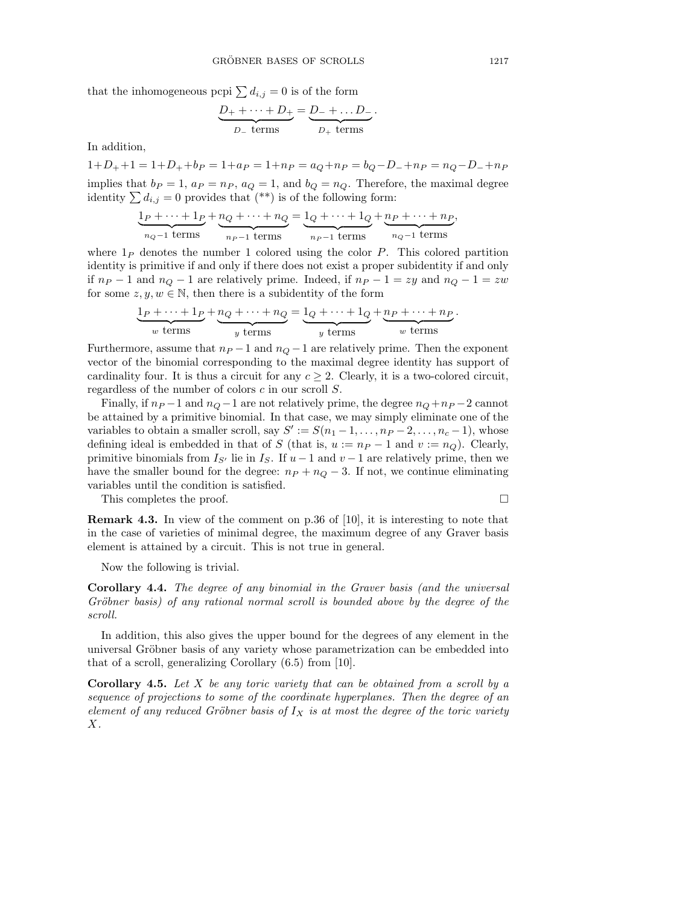that the inhomogeneous pcpi  $\sum d_{i,j} = 0$  is of the form

$$
\underbrace{D_{+} + \cdots + D_{+}}_{D_{-} \text{ terms}} = \underbrace{D_{-} + \ldots D_{-}}_{D_{+} \text{ terms}}
$$

.

In addition,

 $1+D_++1 = 1+D_++b_P = 1+a_P = 1+n_P = a_Q+n_P = b_Q-D_-+n_P = n_Q-D_-+n_P$ 

implies that  $b_P = 1$ ,  $a_P = n_P$ ,  $a_Q = 1$ , and  $b_Q = n_Q$ . Therefore, the maximal degree identity  $\sum d_{i,j} = 0$  provides that  $(**)$  is of the following form:

$$
\underbrace{1_P + \dots + 1_P}_{n_Q - 1 \text{ terms}} + \underbrace{n_Q + \dots + n_Q}_{n_P - 1 \text{ terms}} = \underbrace{1_Q + \dots + 1_Q}_{n_P - 1 \text{ terms}} + \underbrace{n_P + \dots + n_P}_{n_Q - 1 \text{ terms}},
$$

where  $1_P$  denotes the number 1 colored using the color P. This colored partition identity is primitive if and only if there does not exist a proper subidentity if and only if  $n_P - 1$  and  $n_Q - 1$  are relatively prime. Indeed, if  $n_P - 1 = zy$  and  $n_Q - 1 = zw$ for some  $z, y, w \in \mathbb{N}$ , then there is a subidentity of the form

$$
\underbrace{1_P + \dots + 1_P}_{w \text{ terms}} + \underbrace{n_Q + \dots + n_Q}_{y \text{ terms}} = \underbrace{1_Q + \dots + 1_Q}_{y \text{ terms}} + \underbrace{n_P + \dots + n_P}_{w \text{ terms}}.
$$

Furthermore, assume that  $n_P - 1$  and  $n_Q - 1$  are relatively prime. Then the exponent vector of the binomial corresponding to the maximal degree identity has support of cardinality four. It is thus a circuit for any  $c \geq 2$ . Clearly, it is a two-colored circuit, regardless of the number of colors c in our scroll S.

Finally, if  $n_P - 1$  and  $n_Q - 1$  are not relatively prime, the degree  $n_Q + n_P - 2$  cannot be attained by a primitive binomial. In that case, we may simply eliminate one of the variables to obtain a smaller scroll, say  $S' := S(n_1 - 1, \ldots, n_P - 2, \ldots, n_c - 1)$ , whose defining ideal is embedded in that of S (that is,  $u := n_P - 1$  and  $v := n_Q$ ). Clearly, primitive binomials from  $I_{S'}$  lie in  $I_S$ . If  $u - 1$  and  $v - 1$  are relatively prime, then we have the smaller bound for the degree:  $n_P + n_Q - 3$ . If not, we continue eliminating variables until the condition is satisfied.

This completes the proof.  $\Box$ 

Remark 4.3. In view of the comment on p.36 of [10], it is interesting to note that in the case of varieties of minimal degree, the maximum degree of any Graver basis element is attained by a circuit. This is not true in general.

Now the following is trivial.

Corollary 4.4. The degree of any binomial in the Graver basis (and the universal Gröbner basis) of any rational normal scroll is bounded above by the degree of the scroll.

In addition, this also gives the upper bound for the degrees of any element in the universal Gröbner basis of any variety whose parametrization can be embedded into that of a scroll, generalizing Corollary (6.5) from [10].

**Corollary 4.5.** Let  $X$  be any toric variety that can be obtained from a scroll by a sequence of projections to some of the coordinate hyperplanes. Then the degree of an element of any reduced Gröbner basis of  $I_X$  is at most the degree of the toric variety X.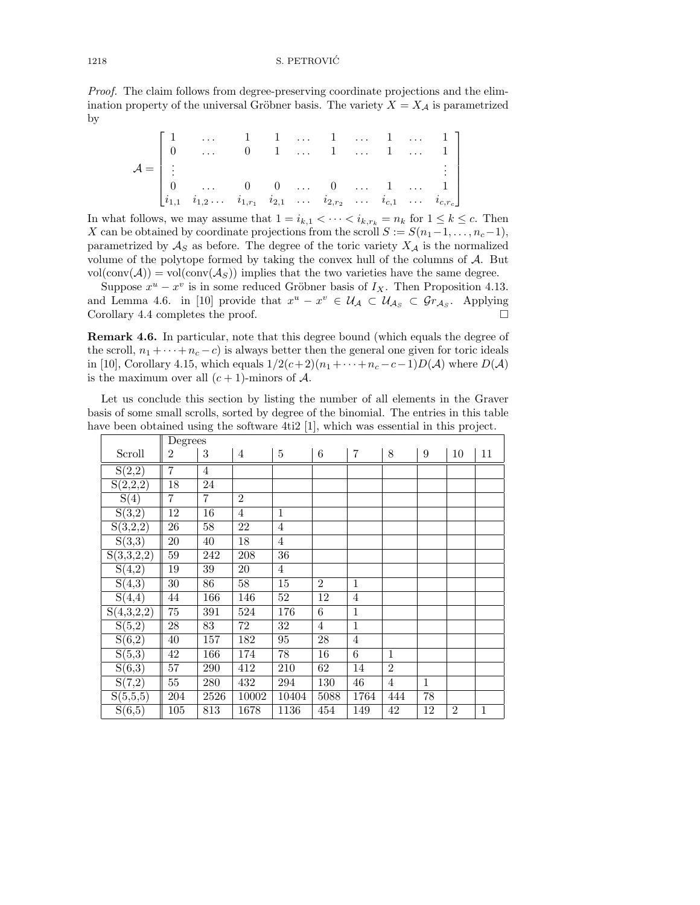### 1218 S. PETROVIC´

Proof. The claim follows from degree-preserving coordinate projections and the elimination property of the universal Gröbner basis. The variety  $X = X_{\mathcal{A}}$  is parametrized by

$$
\mathcal{A} = \begin{bmatrix} 1 & \cdots & 1 & 1 & \cdots & 1 & \cdots & 1 & \cdots & 1 \\ 0 & \cdots & 0 & 1 & \cdots & 1 & \cdots & 1 & \cdots & 1 \\ \vdots & & & & & & & \vdots \\ 0 & \cdots & 0 & 0 & \cdots & 0 & \cdots & 1 & \cdots & 1 \\ i_{1,1} & i_{1,2} & \cdots & i_{1,r_1} & i_{2,1} & \cdots & i_{2,r_2} & \cdots & i_{c,1} & \cdots & i_{c,r_c} \end{bmatrix}
$$

In what follows, we may assume that  $1 = i_{k,1} < \cdots < i_{k,r_k} = n_k$  for  $1 \leq k \leq c$ . Then X can be obtained by coordinate projections from the scroll  $S := S(n_1-1, \ldots, n_c-1)$ , parametrized by  $\mathcal{A}_S$  as before. The degree of the toric variety  $X_{\mathcal{A}}$  is the normalized volume of the polytope formed by taking the convex hull of the columns of A. But  $vol(\text{conv}(\mathcal{A})) = vol(\text{conv}(\mathcal{A}_S))$  implies that the two varieties have the same degree.

Suppose  $x^u - x^v$  is in some reduced Gröbner basis of  $I_X$ . Then Proposition 4.13. and Lemma 4.6. in [10] provide that  $x^u - x^v \in \mathcal{U}_{\mathcal{A}} \subset \mathcal{U}_{\mathcal{A}_{\mathcal{S}}} \subset \mathcal{G}_{\mathcal{A}_{\mathcal{S}}}$ . Applying Corollary 4.4 completes the proof.  $\Box$ 

Remark 4.6. In particular, note that this degree bound (which equals the degree of the scroll,  $n_1 + \cdots + n_c - c$ ) is always better then the general one given for toric ideals in [10], Corollary 4.15, which equals  $1/2(c+2)(n_1+\cdots+n_c-c-1)D(\mathcal{A})$  where  $D(\mathcal{A})$ is the maximum over all  $(c + 1)$ -minors of A.

Let us conclude this section by listing the number of all elements in the Graver basis of some small scrolls, sorted by degree of the binomial. The entries in this table have been obtained using the software 4ti2 [1], which was essential in this project.

|                     | Degrees |                |                |                |                |                |                |              |                |              |  |
|---------------------|---------|----------------|----------------|----------------|----------------|----------------|----------------|--------------|----------------|--------------|--|
| Scroll              | 2       | 3              | $\overline{4}$ | $\overline{5}$ | 6              | $\overline{7}$ | 8              | 9            | 10             | 11           |  |
| S(2,2)              | 7       | $\overline{4}$ |                |                |                |                |                |              |                |              |  |
| S(2,2,2)            | 18      | 24             |                |                |                |                |                |              |                |              |  |
| S(4)                | 7       | $\overline{7}$ | $\overline{2}$ |                |                |                |                |              |                |              |  |
| S(3,2)              | 12      | 16             | $\overline{4}$ | $\mathbf{1}$   |                |                |                |              |                |              |  |
| S(3,2,2)            | 26      | $58\,$         | 22             | $\overline{4}$ |                |                |                |              |                |              |  |
| $\overline{S(3,3)}$ | 20      | 40             | 18             | $\overline{4}$ |                |                |                |              |                |              |  |
| S(3,3,2,2)          | 59      | 242            | 208            | 36             |                |                |                |              |                |              |  |
| S(4,2)              | 19      | 39             | 20             | $\overline{4}$ |                |                |                |              |                |              |  |
| $\overline{S(4,3)}$ | 30      | 86             | 58             | $15\,$         | $\overline{2}$ | $\mathbf{1}$   |                |              |                |              |  |
| $\overline{S}(4,4)$ | 44      | 166            | 146            | $52\,$         | 12             | $\overline{4}$ |                |              |                |              |  |
| S(4,3,2,2)          | $75\,$  | 391            | 524            | 176            | 6              | $\mathbf{1}$   |                |              |                |              |  |
| $\overline{S(5,2)}$ | 28      | 83             | 72             | 32             | $\overline{4}$ | $\overline{1}$ |                |              |                |              |  |
| $\overline{S(6,2)}$ | $40\,$  | $157\,$        | 182            | 95             | $28\,$         | $\overline{4}$ |                |              |                |              |  |
| $\overline{S(5,3)}$ | 42      | 166            | 174            | 78             | 16             | 6              | $\mathbf{1}$   |              |                |              |  |
| S(6,3)              | $57\,$  | 290            | 412            | 210            | 62             | 14             | $\overline{2}$ |              |                |              |  |
| S(7,2)              | 55      | $280\,$        | 432            | 294            | 130            | 46             | $\overline{4}$ | $\mathbf{1}$ |                |              |  |
| S(5,5,5)            | 204     | 2526           | 10002          | 10404          | 5088           | 1764           | 444            | 78           |                |              |  |
| S(6,5)              | 105     | 813            | 1678           | 1136           | 454            | 149            | 42             | 12           | $\overline{2}$ | $\mathbf{1}$ |  |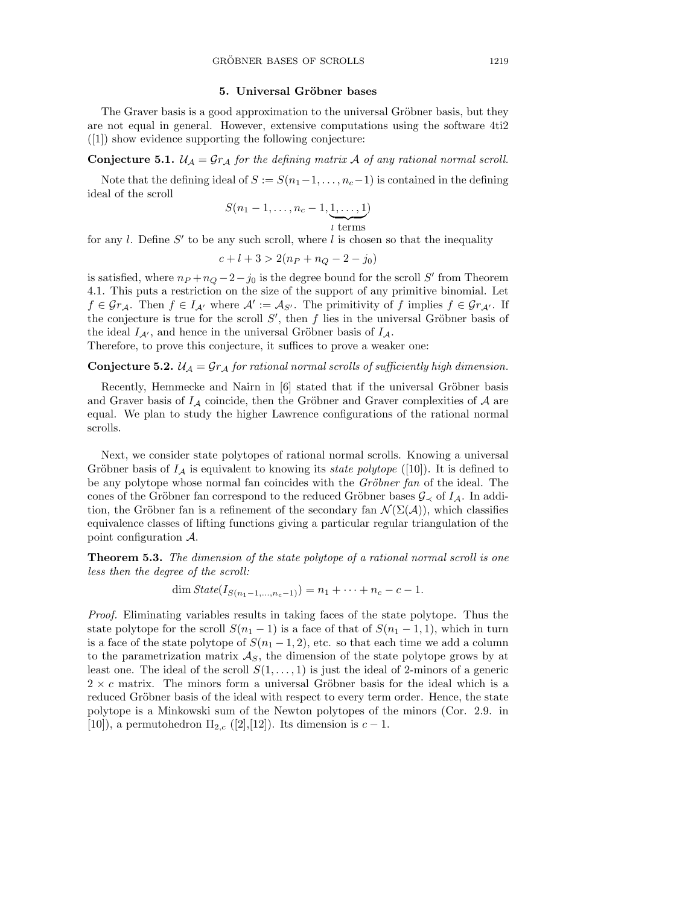## 5. Universal Gröbner bases

The Graver basis is a good approximation to the universal Gröbner basis, but they are not equal in general. However, extensive computations using the software 4ti2 ([1]) show evidence supporting the following conjecture:

**Conjecture 5.1.**  $\mathcal{U}_\mathcal{A} = \mathcal{G}r_\mathcal{A}$  for the defining matrix  $\mathcal{A}$  of any rational normal scroll.

Note that the defining ideal of  $S := S(n_1-1, \ldots, n_c-1)$  is contained in the defining ideal of the scroll

$$
S(n_1-1,\ldots,n_c-1,\underbrace{1,\ldots,1}_{l \text{ terms}})
$$

for any  $l$ . Define  $S'$  to be any such scroll, where  $l$  is chosen so that the inequality

$$
c + l + 3 > 2(n_P + n_Q - 2 - j_0)
$$

is satisfied, where  $n_P + n_Q - 2 - j_0$  is the degree bound for the scroll S' from Theorem 4.1. This puts a restriction on the size of the support of any primitive binomial. Let  $f \in \mathcal{G}r_{\mathcal{A}}$ . Then  $f \in I_{\mathcal{A}}$  where  $\mathcal{A}' := \mathcal{A}_{S'}$ . The primitivity of f implies  $f \in \mathcal{G}r_{\mathcal{A}'}$ . If the conjecture is true for the scroll  $S'$ , then f lies in the universal Gröbner basis of the ideal  $I_{\mathcal{A}}$ , and hence in the universal Gröbner basis of  $I_{\mathcal{A}}$ .

Therefore, to prove this conjecture, it suffices to prove a weaker one:

**Conjecture 5.2.**  $\mathcal{U}_\mathcal{A} = \mathcal{G}r_\mathcal{A}$  for rational normal scrolls of sufficiently high dimension.

Recently, Hemmecke and Nairn in  $[6]$  stated that if the universal Gröbner basis and Graver basis of  $I_A$  coincide, then the Gröbner and Graver complexities of  $A$  are equal. We plan to study the higher Lawrence configurations of the rational normal scrolls.

Next, we consider state polytopes of rational normal scrolls. Knowing a universal Gröbner basis of  $I_A$  is equivalent to knowing its *state polytope* ([10]). It is defined to be any polytope whose normal fan coincides with the Gröbner fan of the ideal. The cones of the Gröbner fan correspond to the reduced Gröbner bases  $\mathcal{G}_{\prec}$  of  $I_{\mathcal{A}}$ . In addition, the Gröbner fan is a refinement of the secondary fan  $\mathcal{N}(\Sigma(\mathcal{A}))$ , which classifies equivalence classes of lifting functions giving a particular regular triangulation of the point configuration A.

Theorem 5.3. The dimension of the state polytope of a rational normal scroll is one less then the degree of the scroll:

dim  $State(I_{S(n_1-1,...,n_c-1)}) = n_1 + \cdots + n_c - c - 1.$ 

Proof. Eliminating variables results in taking faces of the state polytope. Thus the state polytope for the scroll  $S(n_1 - 1)$  is a face of that of  $S(n_1 - 1, 1)$ , which in turn is a face of the state polytope of  $S(n_1 - 1, 2)$ , etc. so that each time we add a column to the parametrization matrix  $\mathcal{A}_S$ , the dimension of the state polytope grows by at least one. The ideal of the scroll  $S(1, \ldots, 1)$  is just the ideal of 2-minors of a generic  $2 \times c$  matrix. The minors form a universal Gröbner basis for the ideal which is a reduced Gröbner basis of the ideal with respect to every term order. Hence, the state polytope is a Minkowski sum of the Newton polytopes of the minors (Cor. 2.9. in [10]), a permutohedron  $\Pi_{2,c}$  ([2],[12]). Its dimension is  $c-1$ .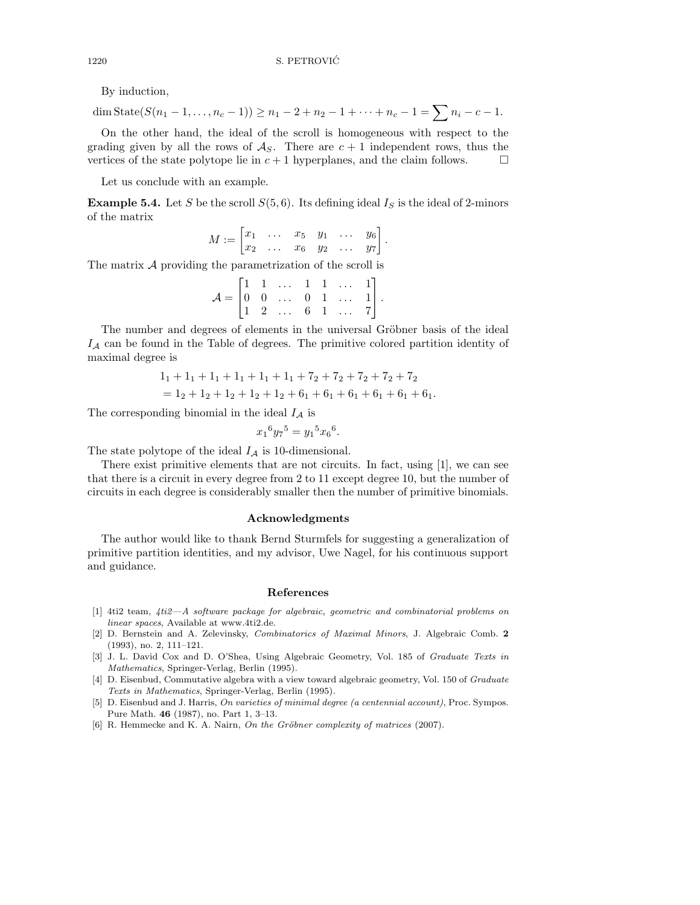By induction,

$$
\dim \operatorname{State}(S(n_1 - 1, \ldots, n_c - 1)) \ge n_1 - 2 + n_2 - 1 + \cdots + n_c - 1 = \sum n_i - c - 1.
$$

On the other hand, the ideal of the scroll is homogeneous with respect to the grading given by all the rows of  $\mathcal{A}_S$ . There are  $c+1$  independent rows, thus the vertices of the state polytope lie in  $c + 1$  hyperplanes, and the claim follows.

Let us conclude with an example.

**Example 5.4.** Let S be the scroll  $S(5, 6)$ . Its defining ideal  $I<sub>S</sub>$  is the ideal of 2-minors of the matrix

$$
M := \begin{bmatrix} x_1 & \dots & x_5 & y_1 & \dots & y_6 \\ x_2 & \dots & x_6 & y_2 & \dots & y_7 \end{bmatrix}
$$

.

The matrix A providing the parametrization of the scroll is

$$
\mathcal{A} = \begin{bmatrix} 1 & 1 & \dots & 1 & 1 & \dots & 1 \\ 0 & 0 & \dots & 0 & 1 & \dots & 1 \\ 1 & 2 & \dots & 6 & 1 & \dots & 7 \end{bmatrix}.
$$

The number and degrees of elements in the universal Gröbner basis of the ideal  $I_A$  can be found in the Table of degrees. The primitive colored partition identity of maximal degree is

$$
11 + 11 + 11 + 11 + 11 + 11 + 72 + 72 + 72 + 72 + 72
$$
  
= 1<sub>2</sub> + 1<sub>2</sub> + 1<sub>2</sub> + 1<sub>2</sub> + 1<sub>2</sub> + 6<sub>1</sub> + 6<sub>1</sub> + 6<sub>1</sub> + 6<sub>1</sub> + 6<sub>1</sub> + 6<sub>1</sub> + 6<sub>1</sub> + 6<sub>1</sub>.

The corresponding binomial in the ideal  $I_A$  is

$$
x_1^6 y_7^5 = y_1^5 x_6^6.
$$

The state polytope of the ideal  $I_A$  is 10-dimensional.

There exist primitive elements that are not circuits. In fact, using [1], we can see that there is a circuit in every degree from 2 to 11 except degree 10, but the number of circuits in each degree is considerably smaller then the number of primitive binomials.

#### Acknowledgments

The author would like to thank Bernd Sturmfels for suggesting a generalization of primitive partition identities, and my advisor, Uwe Nagel, for his continuous support and guidance.

## References

- [1] 4ti2 team, 4ti2—A software package for algebraic, geometric and combinatorial problems on linear spaces, Available at www.4ti2.de.
- [2] D. Bernstein and A. Zelevinsky, Combinatorics of Maximal Minors, J. Algebraic Comb. 2 (1993), no. 2, 111–121.
- [3] J. L. David Cox and D. O'Shea, Using Algebraic Geometry, Vol. 185 of Graduate Texts in Mathematics, Springer-Verlag, Berlin (1995).
- [4] D. Eisenbud, Commutative algebra with a view toward algebraic geometry, Vol. 150 of Graduate Texts in Mathematics, Springer-Verlag, Berlin (1995).
- [5] D. Eisenbud and J. Harris, On varieties of minimal degree (a centennial account), Proc. Sympos. Pure Math. 46 (1987), no. Part 1, 3–13.
- [6] R. Hemmecke and K. A. Nairn, On the Gröbner complexity of matrices (2007).